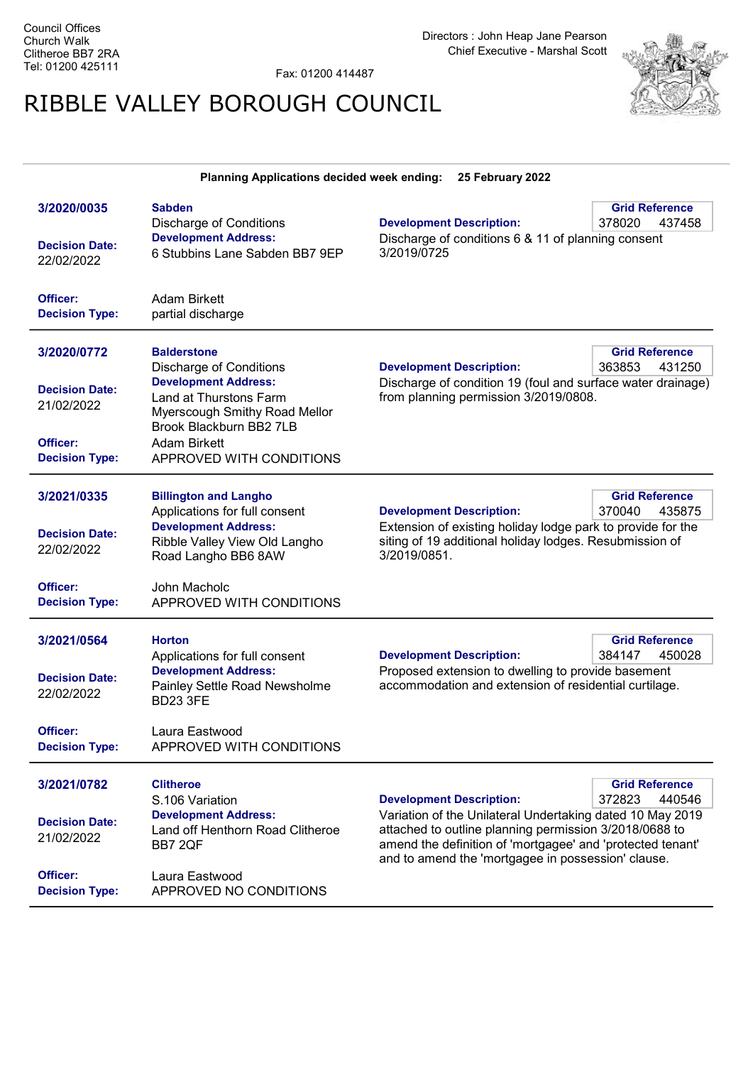Directors : John Heap Jane Pearson Chief Executive - Marshal Scott

Fax: 01200 414487

## RIBBLE VALLEY BOROUGH COUNCIL



|                                                                                         | Planning Applications decided week ending:                                                                                                                                                                                   | 25 February 2022                                                                                                                                                                                                                                                           |                                           |
|-----------------------------------------------------------------------------------------|------------------------------------------------------------------------------------------------------------------------------------------------------------------------------------------------------------------------------|----------------------------------------------------------------------------------------------------------------------------------------------------------------------------------------------------------------------------------------------------------------------------|-------------------------------------------|
| 3/2020/0035<br><b>Decision Date:</b><br>22/02/2022                                      | <b>Sabden</b><br><b>Discharge of Conditions</b><br><b>Development Address:</b><br>6 Stubbins Lane Sabden BB7 9EP                                                                                                             | <b>Development Description:</b><br>Discharge of conditions 6 & 11 of planning consent<br>3/2019/0725                                                                                                                                                                       | <b>Grid Reference</b><br>378020<br>437458 |
| Officer:<br><b>Decision Type:</b>                                                       | <b>Adam Birkett</b><br>partial discharge                                                                                                                                                                                     |                                                                                                                                                                                                                                                                            |                                           |
| 3/2020/0772<br><b>Decision Date:</b><br>21/02/2022<br>Officer:<br><b>Decision Type:</b> | <b>Balderstone</b><br><b>Discharge of Conditions</b><br><b>Development Address:</b><br>Land at Thurstons Farm<br>Myerscough Smithy Road Mellor<br>Brook Blackburn BB2 7LB<br><b>Adam Birkett</b><br>APPROVED WITH CONDITIONS | <b>Development Description:</b><br>Discharge of condition 19 (foul and surface water drainage)<br>from planning permission 3/2019/0808.                                                                                                                                    | <b>Grid Reference</b><br>363853<br>431250 |
| 3/2021/0335<br><b>Decision Date:</b><br>22/02/2022<br>Officer:<br><b>Decision Type:</b> | <b>Billington and Langho</b><br>Applications for full consent<br><b>Development Address:</b><br>Ribble Valley View Old Langho<br>Road Langho BB6 8AW<br>John Macholc<br>APPROVED WITH CONDITIONS                             | <b>Development Description:</b><br>Extension of existing holiday lodge park to provide for the<br>siting of 19 additional holiday lodges. Resubmission of<br>3/2019/0851.                                                                                                  | <b>Grid Reference</b><br>370040<br>435875 |
| 3/2021/0564<br><b>Decision Date:</b><br>22/02/2022<br>Officer:<br><b>Decision Type:</b> | <b>Horton</b><br>Applications for full consent<br><b>Development Address:</b><br>Painley Settle Road Newsholme<br><b>BD23 3FE</b><br>Laura Eastwood<br>APPROVED WITH CONDITIONS                                              | <b>Grid Reference</b><br><b>Development Description:</b><br>384147<br>450028<br>Proposed extension to dwelling to provide basement<br>accommodation and extension of residential curtilage.                                                                                |                                           |
| 3/2021/0782<br><b>Decision Date:</b><br>21/02/2022<br>Officer:<br><b>Decision Type:</b> | <b>Clitheroe</b><br>S.106 Variation<br><b>Development Address:</b><br>Land off Henthorn Road Clitheroe<br>BB7 2QF<br>Laura Eastwood<br>APPROVED NO CONDITIONS                                                                | <b>Development Description:</b><br>Variation of the Unilateral Undertaking dated 10 May 2019<br>attached to outline planning permission 3/2018/0688 to<br>amend the definition of 'mortgagee' and 'protected tenant'<br>and to amend the 'mortgagee in possession' clause. | <b>Grid Reference</b><br>372823<br>440546 |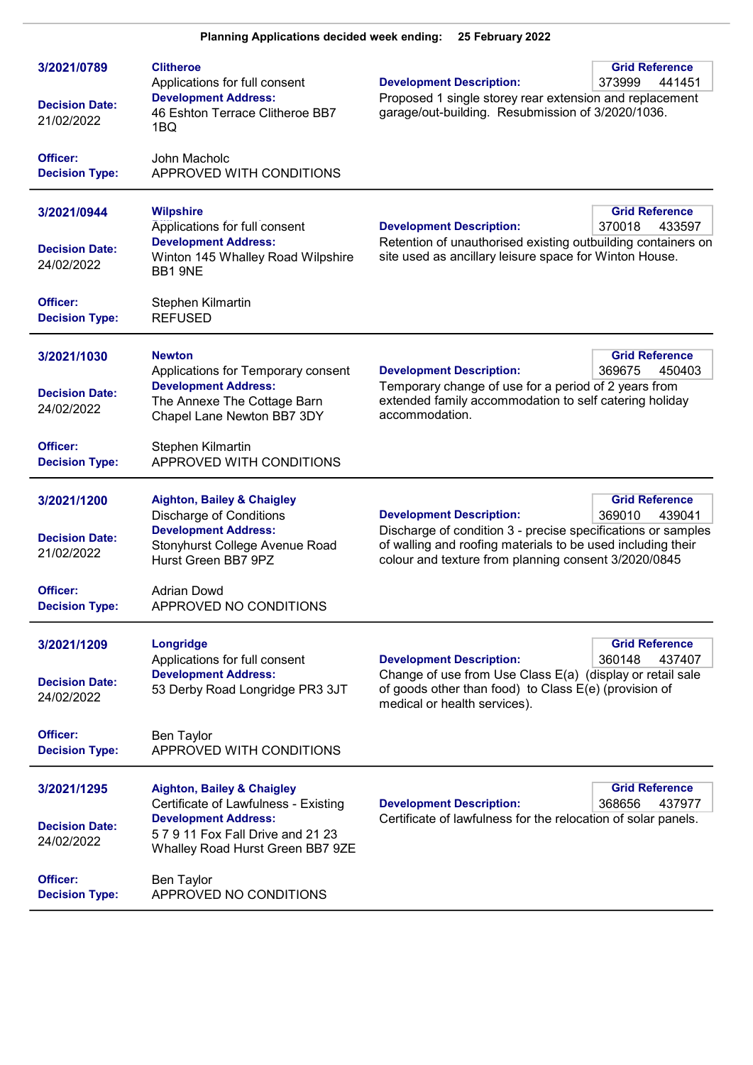| 3/2021/0789<br><b>Decision Date:</b><br>21/02/2022 | <b>Clitheroe</b><br>Applications for full consent<br><b>Development Address:</b><br>46 Eshton Terrace Clitheroe BB7<br>1BQ                                                            | <b>Grid Reference</b><br><b>Development Description:</b><br>373999<br>441451<br>Proposed 1 single storey rear extension and replacement<br>garage/out-building. Resubmission of 3/2020/1036.                                                                        |
|----------------------------------------------------|---------------------------------------------------------------------------------------------------------------------------------------------------------------------------------------|---------------------------------------------------------------------------------------------------------------------------------------------------------------------------------------------------------------------------------------------------------------------|
| Officer:<br><b>Decision Type:</b>                  | John Macholc<br>APPROVED WITH CONDITIONS                                                                                                                                              |                                                                                                                                                                                                                                                                     |
| 3/2021/0944<br><b>Decision Date:</b><br>24/02/2022 | <b>Wilpshire</b><br>Applications for full consent<br><b>Development Address:</b><br>Winton 145 Whalley Road Wilpshire<br>BB1 9NE                                                      | <b>Grid Reference</b><br><b>Development Description:</b><br>370018<br>433597<br>Retention of unauthorised existing outbuilding containers on<br>site used as ancillary leisure space for Winton House.                                                              |
| Officer:<br><b>Decision Type:</b>                  | Stephen Kilmartin<br><b>REFUSED</b>                                                                                                                                                   |                                                                                                                                                                                                                                                                     |
| 3/2021/1030<br><b>Decision Date:</b><br>24/02/2022 | <b>Newton</b><br>Applications for Temporary consent<br><b>Development Address:</b><br>The Annexe The Cottage Barn<br>Chapel Lane Newton BB7 3DY                                       | <b>Grid Reference</b><br><b>Development Description:</b><br>369675<br>450403<br>Temporary change of use for a period of 2 years from<br>extended family accommodation to self catering holiday<br>accommodation.                                                    |
| Officer:<br><b>Decision Type:</b>                  | Stephen Kilmartin<br>APPROVED WITH CONDITIONS                                                                                                                                         |                                                                                                                                                                                                                                                                     |
| 3/2021/1200<br><b>Decision Date:</b><br>21/02/2022 | <b>Aighton, Bailey &amp; Chaigley</b><br><b>Discharge of Conditions</b><br><b>Development Address:</b><br>Stonyhurst College Avenue Road<br>Hurst Green BB7 9PZ                       | <b>Grid Reference</b><br><b>Development Description:</b><br>369010<br>439041<br>Discharge of condition 3 - precise specifications or samples<br>of walling and roofing materials to be used including their<br>colour and texture from planning consent 3/2020/0845 |
| Officer:<br><b>Decision Type:</b>                  | <b>Adrian Dowd</b><br>APPROVED NO CONDITIONS                                                                                                                                          |                                                                                                                                                                                                                                                                     |
| 3/2021/1209<br><b>Decision Date:</b><br>24/02/2022 | Longridge<br>Applications for full consent<br><b>Development Address:</b><br>53 Derby Road Longridge PR3 3JT                                                                          | <b>Grid Reference</b><br><b>Development Description:</b><br>360148<br>437407<br>Change of use from Use Class E(a) (display or retail sale<br>of goods other than food) to Class E(e) (provision of<br>medical or health services).                                  |
| Officer:<br><b>Decision Type:</b>                  | Ben Taylor<br>APPROVED WITH CONDITIONS                                                                                                                                                |                                                                                                                                                                                                                                                                     |
| 3/2021/1295<br><b>Decision Date:</b><br>24/02/2022 | <b>Aighton, Bailey &amp; Chaigley</b><br>Certificate of Lawfulness - Existing<br><b>Development Address:</b><br>5 7 9 11 Fox Fall Drive and 21 23<br>Whalley Road Hurst Green BB7 9ZE | <b>Grid Reference</b><br><b>Development Description:</b><br>368656<br>437977<br>Certificate of lawfulness for the relocation of solar panels.                                                                                                                       |
| Officer:<br><b>Decision Type:</b>                  | <b>Ben Taylor</b><br>APPROVED NO CONDITIONS                                                                                                                                           |                                                                                                                                                                                                                                                                     |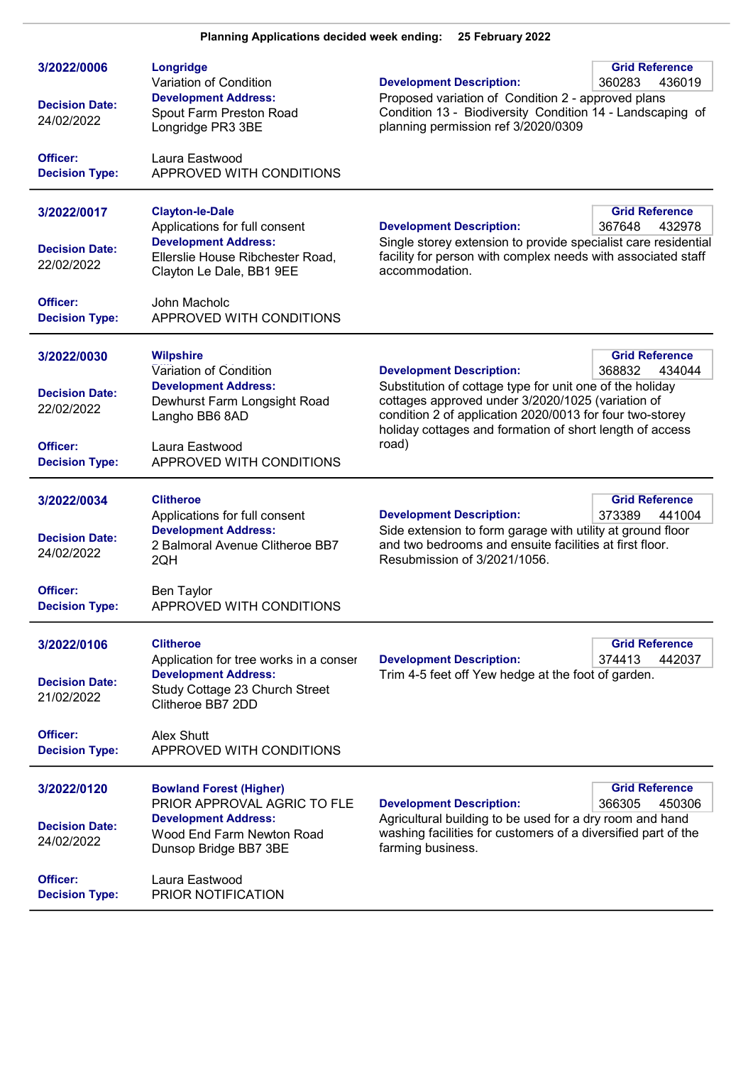| 3/2022/0006<br><b>Decision Date:</b><br>24/02/2022<br>Officer:<br><b>Decision Type:</b> | Longridge<br>Variation of Condition<br><b>Development Address:</b><br>Spout Farm Preston Road<br>Longridge PR3 3BE<br>Laura Eastwood<br>APPROVED WITH CONDITIONS                                   | <b>Development Description:</b><br>Proposed variation of Condition 2 - approved plans<br>Condition 13 - Biodiversity Condition 14 - Landscaping of<br>planning permission ref 3/2020/0309                                                                                         | <b>Grid Reference</b><br>360283<br>436019 |
|-----------------------------------------------------------------------------------------|----------------------------------------------------------------------------------------------------------------------------------------------------------------------------------------------------|-----------------------------------------------------------------------------------------------------------------------------------------------------------------------------------------------------------------------------------------------------------------------------------|-------------------------------------------|
| 3/2022/0017<br><b>Decision Date:</b><br>22/02/2022<br>Officer:<br><b>Decision Type:</b> | <b>Clayton-le-Dale</b><br>Applications for full consent<br><b>Development Address:</b><br>Ellerslie House Ribchester Road,<br>Clayton Le Dale, BB1 9EE<br>John Macholc<br>APPROVED WITH CONDITIONS | <b>Development Description:</b><br>Single storey extension to provide specialist care residential<br>facility for person with complex needs with associated staff<br>accommodation.                                                                                               | <b>Grid Reference</b><br>367648<br>432978 |
| 3/2022/0030<br><b>Decision Date:</b><br>22/02/2022<br>Officer:<br><b>Decision Type:</b> | <b>Wilpshire</b><br>Variation of Condition<br><b>Development Address:</b><br>Dewhurst Farm Longsight Road<br>Langho BB6 8AD<br>Laura Eastwood<br>APPROVED WITH CONDITIONS                          | <b>Development Description:</b><br>Substitution of cottage type for unit one of the holiday<br>cottages approved under 3/2020/1025 (variation of<br>condition 2 of application 2020/0013 for four two-storey<br>holiday cottages and formation of short length of access<br>road) | <b>Grid Reference</b><br>368832<br>434044 |
| 3/2022/0034<br><b>Decision Date:</b><br>24/02/2022<br>Officer:<br><b>Decision Type:</b> | <b>Clitheroe</b><br>Applications for full consent<br><b>Development Address:</b><br>2 Balmoral Avenue Clitheroe BB7<br>2QH<br><b>Ben Taylor</b><br>APPROVED WITH CONDITIONS                        | <b>Development Description:</b><br>Side extension to form garage with utility at ground floor<br>and two bedrooms and ensuite facilities at first floor.<br>Resubmission of 3/2021/1056.                                                                                          | <b>Grid Reference</b><br>373389<br>441004 |
| 3/2022/0106<br><b>Decision Date:</b><br>21/02/2022<br>Officer:<br><b>Decision Type:</b> | <b>Clitheroe</b><br>Application for tree works in a conser<br><b>Development Address:</b><br>Study Cottage 23 Church Street<br>Clitheroe BB7 2DD<br>Alex Shutt<br>APPROVED WITH CONDITIONS         | <b>Development Description:</b><br>Trim 4-5 feet off Yew hedge at the foot of garden.                                                                                                                                                                                             | <b>Grid Reference</b><br>374413<br>442037 |
| 3/2022/0120<br><b>Decision Date:</b><br>24/02/2022<br>Officer:<br><b>Decision Type:</b> | <b>Bowland Forest (Higher)</b><br>PRIOR APPROVAL AGRIC TO FLE<br><b>Development Address:</b><br>Wood End Farm Newton Road<br>Dunsop Bridge BB7 3BE<br>Laura Eastwood<br>PRIOR NOTIFICATION         | <b>Development Description:</b><br>Agricultural building to be used for a dry room and hand<br>washing facilities for customers of a diversified part of the<br>farming business.                                                                                                 | <b>Grid Reference</b><br>366305<br>450306 |